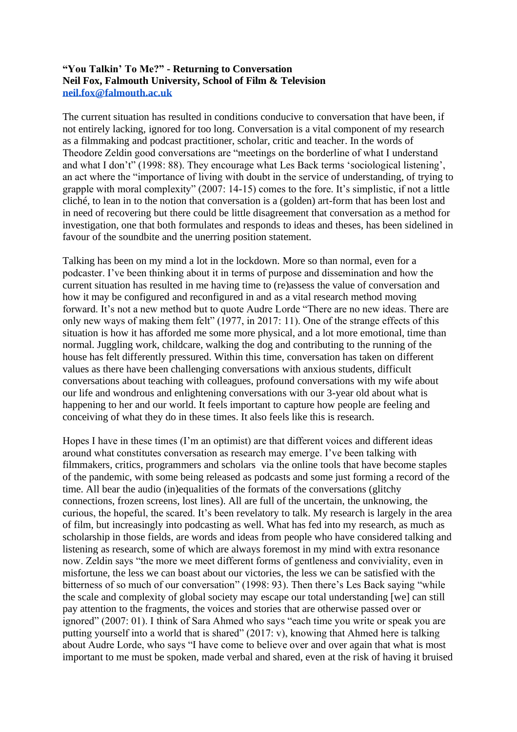## **"You Talkin' To Me?" - Returning to Conversation Neil Fox, Falmouth University, School of Film & Television [neil.fox@falmouth.ac.uk](mailto:neil.fox@falmouth.ac.uk)**

The current situation has resulted in conditions conducive to conversation that have been, if not entirely lacking, ignored for too long. Conversation is a vital component of my research as a filmmaking and podcast practitioner, scholar, critic and teacher. In the words of Theodore Zeldin good conversations are "meetings on the borderline of what I understand and what I don't" (1998: 88). They encourage what Les Back terms 'sociological listening', an act where the "importance of living with doubt in the service of understanding, of trying to grapple with moral complexity" (2007: 14-15) comes to the fore. It's simplistic, if not a little cliché, to lean in to the notion that conversation is a (golden) art-form that has been lost and in need of recovering but there could be little disagreement that conversation as a method for investigation, one that both formulates and responds to ideas and theses, has been sidelined in favour of the soundbite and the unerring position statement.

Talking has been on my mind a lot in the lockdown. More so than normal, even for a podcaster. I've been thinking about it in terms of purpose and dissemination and how the current situation has resulted in me having time to (re)assess the value of conversation and how it may be configured and reconfigured in and as a vital research method moving forward. It's not a new method but to quote Audre Lorde "There are no new ideas. There are only new ways of making them felt" (1977, in 2017: 11). One of the strange effects of this situation is how it has afforded me some more physical, and a lot more emotional, time than normal. Juggling work, childcare, walking the dog and contributing to the running of the house has felt differently pressured. Within this time, conversation has taken on different values as there have been challenging conversations with anxious students, difficult conversations about teaching with colleagues, profound conversations with my wife about our life and wondrous and enlightening conversations with our 3-year old about what is happening to her and our world. It feels important to capture how people are feeling and conceiving of what they do in these times. It also feels like this is research.

Hopes I have in these times (I'm an optimist) are that different voices and different ideas around what constitutes conversation as research may emerge. I've been talking with filmmakers, critics, programmers and scholars via the online tools that have become staples of the pandemic, with some being released as podcasts and some just forming a record of the time. All bear the audio (in)equalities of the formats of the conversations (glitchy connections, frozen screens, lost lines). All are full of the uncertain, the unknowing, the curious, the hopeful, the scared. It's been revelatory to talk. My research is largely in the area of film, but increasingly into podcasting as well. What has fed into my research, as much as scholarship in those fields, are words and ideas from people who have considered talking and listening as research, some of which are always foremost in my mind with extra resonance now. Zeldin says "the more we meet different forms of gentleness and conviviality, even in misfortune, the less we can boast about our victories, the less we can be satisfied with the bitterness of so much of our conversation" (1998: 93). Then there's Les Back saying "while the scale and complexity of global society may escape our total understanding [we] can still pay attention to the fragments, the voices and stories that are otherwise passed over or ignored" (2007: 01). I think of Sara Ahmed who says "each time you write or speak you are putting yourself into a world that is shared" (2017: v), knowing that Ahmed here is talking about Audre Lorde, who says "I have come to believe over and over again that what is most important to me must be spoken, made verbal and shared, even at the risk of having it bruised